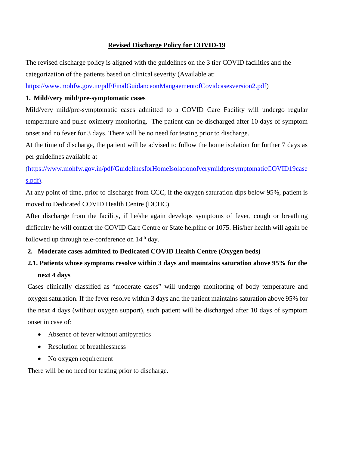## **Revised Discharge Policy for COVID-19**

The revised discharge policy is aligned with the guidelines on the 3 tier COVID facilities and the categorization of the patients based on clinical severity (Available at:

[https://www.mohfw.gov.in/pdf/FinalGuidanceonMangaementofCovidcasesversion2.pdf\)](https://www.mohfw.gov.in/pdf/FinalGuidanceonMangaementofCovidcasesversion2.pdf)

## **1. Mild/very mild/pre-symptomatic cases**

Mild/very mild/pre-symptomatic cases admitted to a COVID Care Facility will undergo regular temperature and pulse oximetry monitoring. The patient can be discharged after 10 days of symptom onset and no fever for 3 days. There will be no need for testing prior to discharge.

At the time of discharge, the patient will be advised to follow the home isolation for further 7 days as per guidelines available at

[\(https://www.mohfw.gov.in/pdf/GuidelinesforHomeIsolationofverymildpresymptomaticCOVID19case](https://www.mohfw.gov.in/pdf/GuidelinesforHomeIsolationofverymildpresymptomaticCOVID19cases.pdf) [s.pdf](https://www.mohfw.gov.in/pdf/GuidelinesforHomeIsolationofverymildpresymptomaticCOVID19cases.pdf)).

At any point of time, prior to discharge from CCC, if the oxygen saturation dips below 95%, patient is moved to Dedicated COVID Health Centre (DCHC).

After discharge from the facility, if he/she again develops symptoms of fever, cough or breathing difficulty he will contact the COVID Care Centre or State helpline or 1075. His/her health will again be followed up through tele-conference on  $14<sup>th</sup>$  day.

# **2. Moderate cases admitted to Dedicated COVID Health Centre (Oxygen beds)**

# **2.1. Patients whose symptoms resolve within 3 days and maintains saturation above 95% for the next 4 days**

Cases clinically classified as "moderate cases" will undergo monitoring of body temperature and oxygen saturation. If the fever resolve within 3 days and the patient maintains saturation above 95% for the next 4 days (without oxygen support), such patient will be discharged after 10 days of symptom onset in case of:

- Absence of fever without antipyretics
- Resolution of breathlessness
- No oxygen requirement

There will be no need for testing prior to discharge.